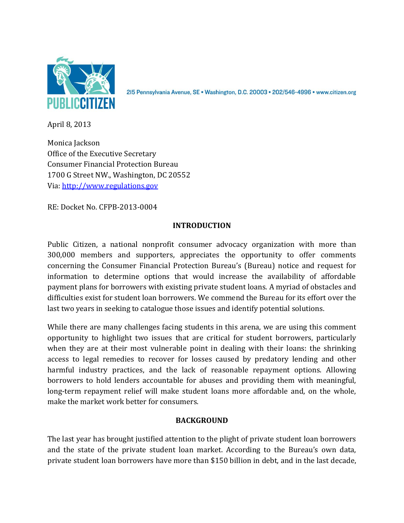

215 Pennsylvania Avenue, SE · Washington, D.C. 20003 · 202/546-4996 · www.citizen.org

April 8, 2013

Monica Jackson Office of the Executive Secretary Consumer Financial Protection Bureau 1700 G Street NW., Washington, DC 20552 Via: [http://www.regulations.gov](http://www.regulations.gov/)

RE: Docket No. CFPB-2013-0004

## **INTRODUCTION**

Public Citizen, a national nonprofit consumer advocacy organization with more than 300,000 members and supporters, appreciates the opportunity to offer comments concerning the Consumer Financial Protection Bureau's (Bureau) notice and request for information to determine options that would increase the availability of affordable payment plans for borrowers with existing private student loans. A myriad of obstacles and difficulties exist for student loan borrowers. We commend the Bureau for its effort over the last two years in seeking to catalogue those issues and identify potential solutions.

While there are many challenges facing students in this arena, we are using this comment opportunity to highlight two issues that are critical for student borrowers, particularly when they are at their most vulnerable point in dealing with their loans: the shrinking access to legal remedies to recover for losses caused by predatory lending and other harmful industry practices, and the lack of reasonable repayment options. Allowing borrowers to hold lenders accountable for abuses and providing them with meaningful, long-term repayment relief will make student loans more affordable and, on the whole, make the market work better for consumers.

## **BACKGROUND**

The last year has brought justified attention to the plight of private student loan borrowers and the state of the private student loan market. According to the Bureau's own data, private student loan borrowers have more than \$150 billion in debt, and in the last decade,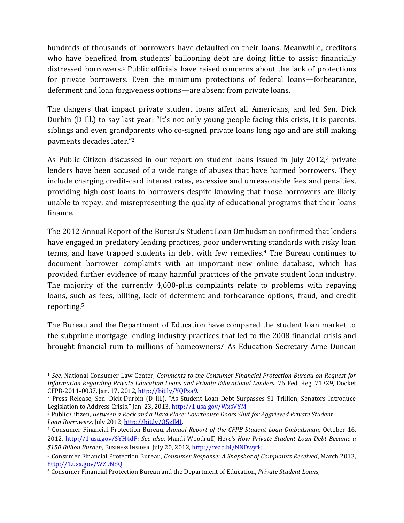hundreds of thousands of borrowers have defaulted on their loans. Meanwhile, creditors who have benefited from students' ballooning debt are doing little to assist financially distressed borrowers.<sup>1</sup> Public officials have raised concerns about the lack of protections for private borrowers. Even the minimum protections of federal loans—forbearance, deferment and loan forgiveness options—are absent from private loans.

The dangers that impact private student loans affect all Americans, and led Sen. Dick Durbin (D-Ill.) to say last year: "It's not only young people facing this crisis, it is parents, siblings and even grandparents who co-signed private loans long ago and are still making payments decades later."<sup>2</sup>

As Public Citizen discussed in our report on student loans issued in July 2012,<sup>3</sup> private lenders have been accused of a wide range of abuses that have harmed borrowers. They include charging credit-card interest rates, excessive and unreasonable fees and penalties, providing high-cost loans to borrowers despite knowing that those borrowers are likely unable to repay, and misrepresenting the quality of educational programs that their loans finance.

The 2012 Annual Report of the Bureau's Student Loan Ombudsman confirmed that lenders have engaged in predatory lending practices, poor underwriting standards with risky loan terms, and have trapped students in debt with few remedies.<sup>4</sup> The Bureau continues to document borrower complaints with an important new online database, which has provided further evidence of many harmful practices of the private student loan industry. The majority of the currently 4,600-plus complaints relate to problems with repaying loans, such as fees, billing, lack of deferment and forbearance options, fraud, and credit reporting.<sup>5</sup>

The Bureau and the Department of Education have compared the student loan market to the subprime mortgage lending industry practices that led to the 2008 financial crisis and brought financial ruin to millions of homeowners.<sup>6</sup> As Education Secretary Arne Duncan

 $\overline{\phantom{0}}$ 

<sup>1</sup> *See*, National Consumer Law Center, *Comments to the Consumer Financial Protection Bureau on Request for Information Regarding Private Education Loans and Private Educational Lenders*, 76 Fed. Reg. 71329, Docket CFPB-2011-0037, Jan. 17, 2012[, http://bit.ly/YQPxa9.](http://bit.ly/YQPxa9) 

<sup>2</sup> Press Release, Sen. Dick Durbin (D-Ill.), "As Student Loan Debt Surpasses \$1 Trillion, Senators Introduce Legislation to Address Crisis," Jan. 23, 2013[, http://1.usa.gov/WxsVYM.](http://1.usa.gov/WxsVYM) 

<sup>3</sup> Public Citizen, *Between a Rock and a Hard Place: Courthouse Doors Shut for Aggrieved Private Student Loan Borrowers*, July 2012, [http://bit.ly/O5zJMI.](http://bit.ly/O5zJMI) 

<sup>4</sup> Consumer Financial Protection Bureau, *Annual Report of the CFPB Student Loan Ombudsman*, October 16, 2012, [http://1.usa.gov/SYH4dF;](http://1.usa.gov/SYH4dF) *See also*, Mandi Woodruff, He*re's How Private Student Loan Debt Became a \$150 Billion Burden*, BUSINESS INSIDER, July 20, 2012, [http://read.bi/NNDwy4;](http://read.bi/NNDwy4)

<sup>5</sup> Consumer Financial Protection Bureau, *Consumer Response: A Snapshot of Complaints Received*, March 2013, [http://1.usa.gov/WZ9N8Q.](http://1.usa.gov/WZ9N8Q)

<sup>6</sup> Consumer Financial Protection Bureau and the Department of Education, *Private Student Loans*,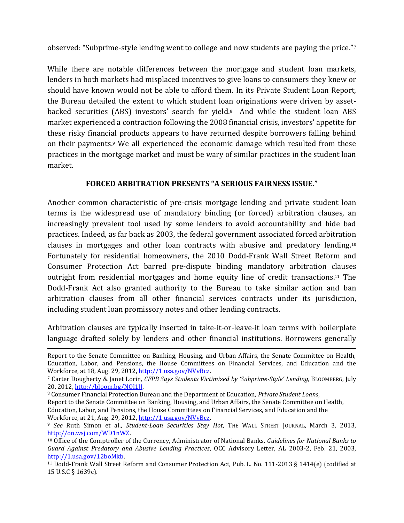observed: "Subprime-style lending went to college and now students are paying the price."<sup>7</sup>

While there are notable differences between the mortgage and student loan markets, lenders in both markets had misplaced incentives to give loans to consumers they knew or should have known would not be able to afford them. In its Private Student Loan Report, the Bureau detailed the extent to which student loan originations were driven by assetbacked securities (ABS) investors' search for yield.8 And while the student loan ABS market experienced a contraction following the 2008 financial crisis, investors' appetite for these risky financial products appears to have returned despite borrowers falling behind on their payments. <sup>9</sup> We all experienced the economic damage which resulted from these practices in the mortgage market and must be wary of similar practices in the student loan market.

## **FORCED ARBITRATION PRESENTS "A SERIOUS FAIRNESS ISSUE."**

Another common characteristic of pre-crisis mortgage lending and private student loan terms is the widespread use of mandatory binding (or forced) arbitration clauses, an increasingly prevalent tool used by some lenders to avoid accountability and hide bad practices. Indeed, as far back as 2003, the federal government associated forced arbitration clauses in mortgages and other loan contracts with abusive and predatory lending.<sup>10</sup> Fortunately for residential homeowners, the 2010 Dodd-Frank Wall Street Reform and Consumer Protection Act barred pre-dispute binding mandatory arbitration clauses outright from residential mortgages and home equity line of credit transactions.<sup>11</sup> The Dodd-Frank Act also granted authority to the Bureau to take similar action and ban arbitration clauses from all other financial services contracts under its jurisdiction, including student loan promissory notes and other lending contracts.

Arbitration clauses are typically inserted in take-it-or-leave-it loan terms with boilerplate language drafted solely by lenders and other financial institutions. Borrowers generally

 $\overline{\phantom{0}}$ 

Report to the Senate Committee on Banking, Housing, and Urban Affairs, the Senate Committee on Health, Education, Labor, and Pensions, the House Committees on Financial Services, and Education and the Workforce, at 18, Aug. 29, 2012[, http://1.usa.gov/NVvBcz.](http://1.usa.gov/NVvBcz)

<sup>7</sup> Carter Dougherty & Janet Lorin, *CFPB Says Students Victimized by 'Subprime-Style' Lending,* BLOOMBERG, July 20, 2012[, http://bloom.bg/NOl1JJ.](http://bloom.bg/NOl1JJ)

<sup>8</sup> Consumer Financial Protection Bureau and the Department of Education, *Private Student Loans*,

Report to the Senate Committee on Banking, Housing, and Urban Affairs, the Senate Committee on Health, Education, Labor, and Pensions, the House Committees on Financial Services, and Education and the Workforce, at 21, Aug. 29, 2012[, http://1.usa.gov/NVvBcz.](http://1.usa.gov/NVvBcz)

<sup>9</sup> *See* Ruth Simon et al., *Student-Loan Securities Stay Hot*, THE WALL STREET JOURNAL, March 3, 2013, [http://on.wsj.com/WD1nWZ.](http://on.wsj.com/WD1nWZ) 

<sup>10</sup> Office of the Comptroller of the Currency, Administrator of National Banks, *Guidelines for National Banks to Guard Against Predatory and Abusive Lending Practices*, OCC Advisory Letter, AL 2003-2, Feb. 21, 2003, [http://1.usa.gov/12boMkb.](http://1.usa.gov/12boMkb) 

<sup>11</sup> Dodd-Frank Wall Street Reform and Consumer Protection Act, Pub. L. No. 111-2013 § 1414(e) (codified at 15 U.S.C § 1639c).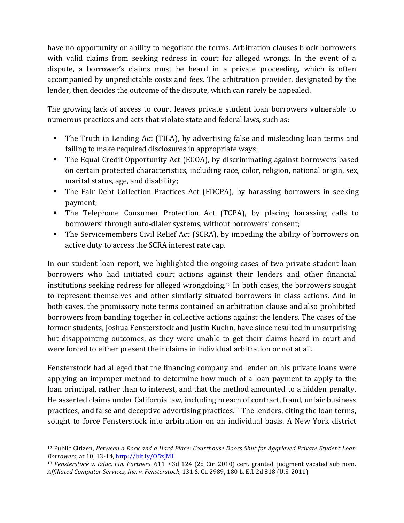have no opportunity or ability to negotiate the terms. Arbitration clauses block borrowers with valid claims from seeking redress in court for alleged wrongs. In the event of a dispute, a borrower's claims must be heard in a private proceeding, which is often accompanied by unpredictable costs and fees. The arbitration provider, designated by the lender, then decides the outcome of the dispute, which can rarely be appealed.

The growing lack of access to court leaves private student loan borrowers vulnerable to numerous practices and acts that violate state and federal laws, such as:

- The Truth in Lending Act (TILA), by advertising false and misleading loan terms and failing to make required disclosures in appropriate ways;
- The Equal Credit Opportunity Act (ECOA), by discriminating against borrowers based on certain protected characteristics, including race, color, religion, national origin, sex, marital status, age, and disability;
- The Fair Debt Collection Practices Act (FDCPA), by harassing borrowers in seeking payment;
- The Telephone Consumer Protection Act (TCPA), by placing harassing calls to borrowers' through auto-dialer systems, without borrowers' consent;
- The Servicemembers Civil Relief Act (SCRA), by impeding the ability of borrowers on active duty to access the SCRA interest rate cap.

In our student loan report, we highlighted the ongoing cases of two private student loan borrowers who had initiated court actions against their lenders and other financial institutions seeking redress for alleged wrongdoing.<sup>12</sup> In both cases, the borrowers sought to represent themselves and other similarly situated borrowers in class actions. And in both cases, the promissory note terms contained an arbitration clause and also prohibited borrowers from banding together in collective actions against the lenders. The cases of the former students, Joshua Fensterstock and Justin Kuehn, have since resulted in unsurprising but disappointing outcomes, as they were unable to get their claims heard in court and were forced to either present their claims in individual arbitration or not at all.

Fensterstock had alleged that the financing company and lender on his private loans were applying an improper method to determine how much of a loan payment to apply to the loan principal, rather than to interest, and that the method amounted to a hidden penalty. He asserted claims under California law, including breach of contract, fraud, unfair business practices, and false and deceptive advertising practices. <sup>13</sup> The lenders, citing the loan terms, sought to force Fensterstock into arbitration on an individual basis. A New York district

l

<sup>12</sup> Public Citizen, *Between a Rock and a Hard Place: Courthouse Doors Shut for Aggrieved Private Student Loan Borrowers*, at 10, 13-14, [http://bit.ly/O5zJMI.](http://bit.ly/O5zJMI)

<sup>13</sup> *Fensterstock v. Educ. Fin. Partners*, 611 F.3d 124 (2d Cir. 2010) cert. granted, judgment vacated sub nom. *Affiliated Computer Services, Inc. v. Fensterstock*, 131 S. Ct. 2989, 180 L. Ed. 2d 818 (U.S. 2011).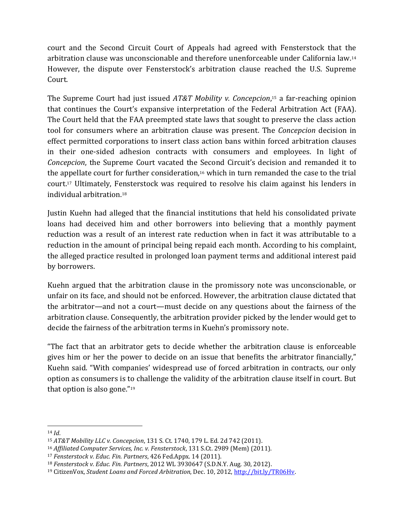court and the Second Circuit Court of Appeals had agreed with Fensterstock that the arbitration clause was unconscionable and therefore unenforceable under California law.<sup>14</sup> However, the dispute over Fensterstock's arbitration clause reached the U.S. Supreme Court.

The Supreme Court had just issued *AT&T Mobility v. Concepcion*, <sup>15</sup> a far-reaching opinion that continues the Court's expansive interpretation of the Federal Arbitration Act (FAA). The Court held that the FAA preempted state laws that sought to preserve the class action tool for consumers where an arbitration clause was present. The *Concepcion* decision in effect permitted corporations to insert class action bans within forced arbitration clauses in their one-sided adhesion contracts with consumers and employees. In light of *Concepcion*, the Supreme Court vacated the Second Circuit's decision and remanded it to the appellate court for further consideration,<sup>16</sup> which in turn remanded the case to the trial court. <sup>17</sup> Ultimately, Fensterstock was required to resolve his claim against his lenders in individual arbitration.<sup>18</sup>

Justin Kuehn had alleged that the financial institutions that held his consolidated private loans had deceived him and other borrowers into believing that a monthly payment reduction was a result of an interest rate reduction when in fact it was attributable to a reduction in the amount of principal being repaid each month. According to his complaint, the alleged practice resulted in prolonged loan payment terms and additional interest paid by borrowers.

Kuehn argued that the arbitration clause in the promissory note was unconscionable, or unfair on its face, and should not be enforced. However, the arbitration clause dictated that the arbitrator—and not a court—must decide on any questions about the fairness of the arbitration clause. Consequently, the arbitration provider picked by the lender would get to decide the fairness of the arbitration terms in Kuehn's promissory note.

"The fact that an arbitrator gets to decide whether the arbitration clause is enforceable gives him or her the power to decide on an issue that benefits the arbitrator financially," Kuehn said. "With companies' widespread use of forced arbitration in contracts, our only option as consumers is to challenge the validity of the arbitration clause itself in court. But that option is also gone."<sup>19</sup>

 $\overline{a}$ <sup>14</sup> *Id*.

<sup>15</sup> *AT&T Mobility LLC v. Concepcion*, 131 S. Ct. 1740, 179 L. Ed. 2d 742 (2011).

<sup>16</sup> *Affiliated Computer Services, Inc. v. Fensterstock*, 131 S.Ct. 2989 (Mem) (2011).

<sup>17</sup> *Fensterstock v. Educ. Fin. Partners*, 426 Fed.Appx. 14 (2011).

<sup>18</sup> *Fensterstock v. Educ. Fin. Partners*, 2012 WL 3930647 (S.D.N.Y. Aug. 30, 2012).

<sup>19</sup> CitizenVox, *Student Loans and Forced Arbitration*, Dec. 10, 2012, [http://bit.ly/TR06Hv.](http://bit.ly/TR06Hv)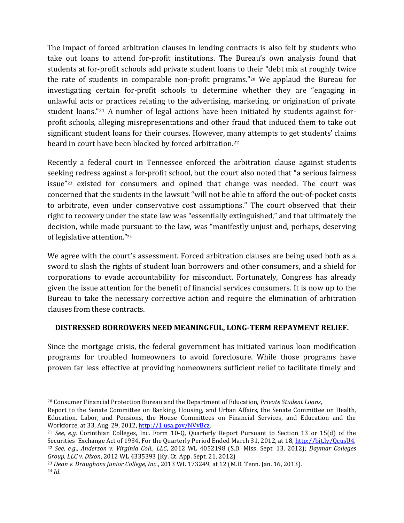The impact of forced arbitration clauses in lending contracts is also felt by students who take out loans to attend for-profit institutions. The Bureau's own analysis found that students at for-profit schools add private student loans to their "debt mix at roughly twice the rate of students in comparable non-profit programs."<sup>20</sup> We applaud the Bureau for investigating certain for-profit schools to determine whether they are "engaging in unlawful acts or practices relating to the advertising, marketing, or origination of private student loans."<sup>21</sup> A number of legal actions have been initiated by students against forprofit schools, alleging misrepresentations and other fraud that induced them to take out significant student loans for their courses. However, many attempts to get students' claims heard in court have been blocked by forced arbitration.<sup>22</sup>

Recently a federal court in Tennessee enforced the arbitration clause against students seeking redress against a for-profit school, but the court also noted that "a serious fairness issue"<sup>23</sup> existed for consumers and opined that change was needed. The court was concerned that the students in the lawsuit "will not be able to afford the out-of-pocket costs to arbitrate, even under conservative cost assumptions." The court observed that their right to recovery under the state law was "essentially extinguished," and that ultimately the decision, while made pursuant to the law, was "manifestly unjust and, perhaps, deserving of legislative attention." 24

We agree with the court's assessment. Forced arbitration clauses are being used both as a sword to slash the rights of student loan borrowers and other consumers, and a shield for corporations to evade accountability for misconduct. Fortunately, Congress has already given the issue attention for the benefit of financial services consumers. It is now up to the Bureau to take the necessary corrective action and require the elimination of arbitration clauses from these contracts.

## **DISTRESSED BORROWERS NEED MEANINGFUL, LONG-TERM REPAYMENT RELIEF.**

Since the mortgage crisis, the federal government has initiated various loan modification programs for troubled homeowners to avoid foreclosure. While those programs have proven far less effective at providing homeowners sufficient relief to facilitate timely and

 $\overline{\phantom{0}}$ 

<sup>20</sup> Consumer Financial Protection Bureau and the Department of Education, *Private Student Loans*,

Report to the Senate Committee on Banking, Housing, and Urban Affairs, the Senate Committee on Health, Education, Labor, and Pensions, the House Committees on Financial Services, and Education and the Workforce, at 33, Aug. 29, 2012[, http://1.usa.gov/NVvBcz.](http://1.usa.gov/NVvBcz)

<sup>21</sup> *See, e.g.* Corinthian Colleges, Inc. Form 10-Q, Quarterly Report Pursuant to Section 13 or 15(d) of the Securities Exchange Act of 1934, For the Quarterly Period Ended March 31, 2012, at 18, [http://bit.ly/QcusU4.](http://bit.ly/QcusU4)  <sup>22</sup> *See, e.g*., *Anderson v. Virginia Coll., LLC*, 2012 WL 4052198 (S.D. Miss. Sept. 13, 2012); *Daymar Colleges Group, LLC v. Dixon*, 2012 WL 4335393 (Ky. Ct. App. Sept. 21, 2012)

<sup>23</sup> *Dean v. Draughons Junior College, Inc*., 2013 WL 173249, at 12 (M.D. Tenn. Jan. 16, 2013). <sup>24</sup> *Id*.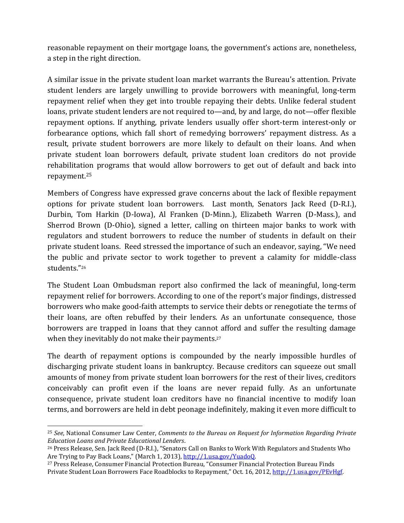reasonable repayment on their mortgage loans, the government's actions are, nonetheless, a step in the right direction.

A similar issue in the private student loan market warrants the Bureau's attention. Private student lenders are largely unwilling to provide borrowers with meaningful, long-term repayment relief when they get into trouble repaying their debts. Unlike federal student loans, private student lenders are not required to—and, by and large, do not—offer flexible repayment options. If anything, private lenders usually offer short-term interest-only or forbearance options, which fall short of remedying borrowers' repayment distress. As a result, private student borrowers are more likely to default on their loans. And when private student loan borrowers default, private student loan creditors do not provide rehabilitation programs that would allow borrowers to get out of default and back into repayment.<sup>25</sup>

Members of Congress have expressed grave concerns about the lack of flexible repayment options for private student loan borrowers. Last month, Senators Jack Reed (D-R.I.), Durbin, Tom Harkin (D-Iowa), Al Franken (D-Minn.), Elizabeth Warren (D-Mass.), and Sherrod Brown (D-Ohio), signed a letter, calling on thirteen major banks to work with regulators and student borrowers to reduce the number of students in default on their private student loans. Reed stressed the importance of such an endeavor, saying, "We need the public and private sector to work together to prevent a calamity for middle-class students."<sup>26</sup>

The Student Loan Ombudsman report also confirmed the lack of meaningful, long-term repayment relief for borrowers. According to one of the report's major findings, distressed borrowers who make good-faith attempts to service their debts or renegotiate the terms of their loans, are often rebuffed by their lenders. As an unfortunate consequence, those borrowers are trapped in loans that they cannot afford and suffer the resulting damage when they inevitably do not make their payments.<sup>27</sup>

The dearth of repayment options is compounded by the nearly impossible hurdles of discharging private student loans in bankruptcy. Because creditors can squeeze out small amounts of money from private student loan borrowers for the rest of their lives, creditors conceivably can profit even if the loans are never repaid fully. As an unfortunate consequence, private student loan creditors have no financial incentive to modify loan terms, and borrowers are held in debt peonage indefinitely, making it even more difficult to

 $\overline{a}$ 

<sup>25</sup> *See*, National Consumer Law Center, *Comments to the Bureau on Request for Information Regarding Private Education Loans and Private Educational Lenders*.

<sup>26</sup> Press Release, Sen. Jack Reed (D-R.I.), "Senators Call on Banks to Work With Regulators and Students Who Are Trying to Pay Back Loans," (March 1, 2013), [http://1.usa.gov/YuadoQ.](http://1.usa.gov/YuadoQ) 

<sup>27</sup> Press Release, Consumer Financial Protection Bureau, "Consumer Financial Protection Bureau Finds Private Student Loan Borrowers Face Roadblocks to Repayment," Oct. 16, 2012, [http://1.usa.gov/PEvHgf.](http://1.usa.gov/PEvHgf)